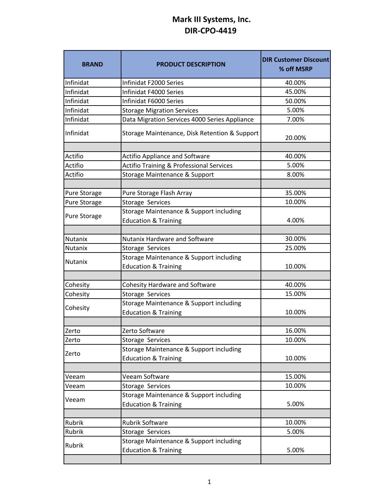## **Mark III Systems, Inc. DIR‐CPO‐4419**

| <b>BRAND</b>        | <b>PRODUCT DESCRIPTION</b>                                                 | <b>DIR Customer Discount</b><br>% off MSRP |
|---------------------|----------------------------------------------------------------------------|--------------------------------------------|
| Infinidat           | Infinidat F2000 Series                                                     | 40.00%                                     |
| Infinidat           | Infinidat F4000 Series                                                     | 45.00%                                     |
| Infinidat           | Infinidat F6000 Series                                                     | 50.00%                                     |
| Infinidat           | <b>Storage Migration Services</b>                                          | 5.00%                                      |
| Infinidat           | Data Migration Services 4000 Series Appliance                              | 7.00%                                      |
| Infinidat           | Storage Maintenance, Disk Retention & Support                              | 20.00%                                     |
| Actifio             | <b>Actifio Appliance and Software</b>                                      | 40.00%                                     |
| Actifio             |                                                                            | 5.00%                                      |
|                     | <b>Actifio Training &amp; Professional Services</b>                        | 8.00%                                      |
| Actifio             | Storage Maintenance & Support                                              |                                            |
| <b>Pure Storage</b> | Pure Storage Flash Array                                                   | 35.00%                                     |
| <b>Pure Storage</b> | Storage Services                                                           | 10.00%                                     |
| <b>Pure Storage</b> | Storage Maintenance & Support including<br><b>Education &amp; Training</b> | 4.00%                                      |
|                     |                                                                            |                                            |
| <b>Nutanix</b>      | <b>Nutanix Hardware and Software</b>                                       | 30.00%                                     |
| Nutanix             | Storage Services                                                           | 25.00%                                     |
| <b>Nutanix</b>      | Storage Maintenance & Support including                                    |                                            |
|                     | <b>Education &amp; Training</b>                                            | 10.00%                                     |
| Cohesity            | <b>Cohesity Hardware and Software</b>                                      | 40.00%                                     |
| Cohesity            | Storage Services                                                           | 15.00%                                     |
| Cohesity            | Storage Maintenance & Support including<br><b>Education &amp; Training</b> | 10.00%                                     |
|                     |                                                                            |                                            |
| Zerto               | Zerto Software                                                             | 16.00%                                     |
| Zerto               | Storage Services                                                           | 10.00%                                     |
| Zerto               | Storage Maintenance & Support including<br><b>Education &amp; Training</b> | 10.00%                                     |
|                     |                                                                            |                                            |
| Veeam               | Veeam Software                                                             | 15.00%                                     |
| Veeam               | Storage Services                                                           | 10.00%                                     |
| Veeam               | Storage Maintenance & Support including                                    |                                            |
|                     | <b>Education &amp; Training</b>                                            | 5.00%                                      |
| Rubrik              | Rubrik Software                                                            | 10.00%                                     |
| Rubrik              | Storage Services                                                           | 5.00%                                      |
|                     | Storage Maintenance & Support including                                    |                                            |
| Rubrik              | <b>Education &amp; Training</b>                                            | 5.00%                                      |
|                     |                                                                            |                                            |